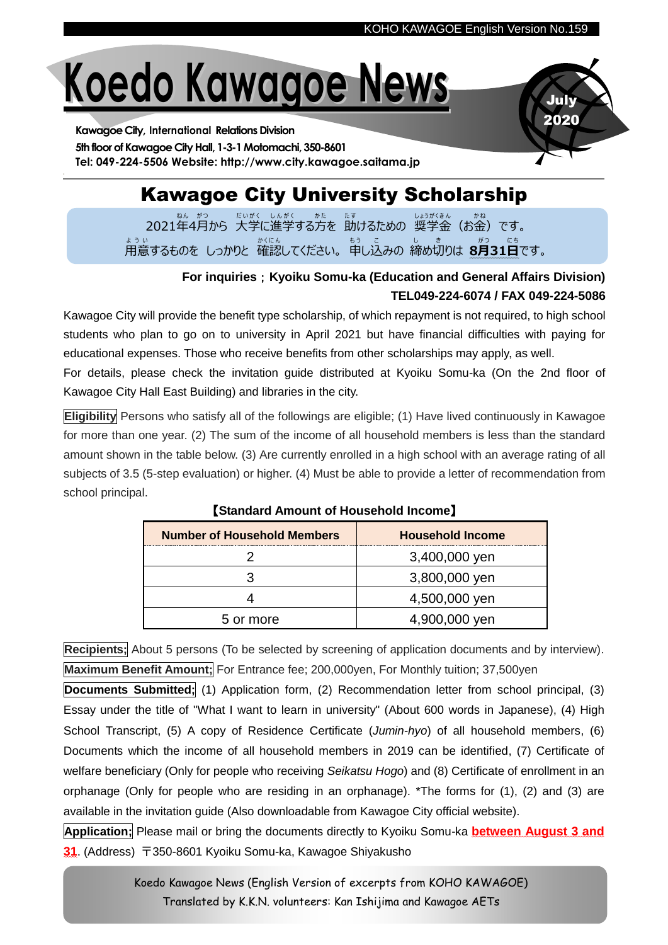July 2020

# **Koedo Kawagoe News**

**Kawagoe City, International Relations Division** 5th floor of Kawagoe City Hall, 1-3-1 Motomachi, 350-8601 **Tel: 049-224-5506 Website: http://www.city.kawagoe.saitama.jp**

## Kawagoe City University Scholarship

2021年 ね ん 4月 が つ から 大学 だ い が く に進学 し ん が く する方 か た を 助 た す けるための 奨学 し ょ う が く 金 き ん (お金 か ね )です。 ょ<sub>ぅぃ</sub><br>用意するものを しっかりと 確認してください。 申し込みの 締め切りは 8**月31日**です。

## **For inquiries**;**Kyoiku Somu-ka (Education and General Affairs Division) TEL049-224-6074 / FAX 049-224-5086**

Kawagoe City will provide the benefit type scholarship, of which repayment is not required, to high school students who plan to go on to university in April 2021 but have financial difficulties with paying for educational expenses. Those who receive benefits from other scholarships may apply, as well.

For details, please check the invitation guide distributed at Kyoiku Somu-ka (On the 2nd floor of Kawagoe City Hall East Building) and libraries in the city.

**Eligibility** Persons who satisfy all of the followings are eligible; (1) Have lived continuously in Kawagoe for more than one year. (2) The sum of the income of all household members is less than the standard amount shown in the table below. (3) Are currently enrolled in a high school with an average rating of all subjects of 3.5 (5-step evaluation) or higher. (4) Must be able to provide a letter of recommendation from school principal.

| <b>Number of Household Members</b> | <b>Household Income</b> |
|------------------------------------|-------------------------|
|                                    | 3,400,000 yen           |
|                                    | 3,800,000 yen           |
|                                    | 4,500,000 yen           |
| 5 or more                          | 4,900,000 yen           |

## 【**Standard Amount of Household Income**】

**Recipients;** About 5 persons (To be selected by screening of application documents and by interview). **Maximum Benefit Amount;** For Entrance fee; 200,000yen, For Monthly tuition; 37,500yen

**Documents Submitted;** (1) Application form, (2) Recommendation letter from school principal, (3) Essay under the title of "What I want to learn in university" (About 600 words in Japanese), (4) High School Transcript, (5) A copy of Residence Certificate (*Jumin-hyo*) of all household members, (6) Documents which the income of all household members in 2019 can be identified, (7) Certificate of welfare beneficiary (Only for people who receiving *Seikatsu Hogo*) and (8) Certificate of enrollment in an orphanage (Only for people who are residing in an orphanage). \*The forms for (1), (2) and (3) are available in the invitation guide (Also downloadable from Kawagoe City official website).

**Application;** Please mail or bring the documents directly to Kyoiku Somu-ka **between August 3 and 31**. (Address) 〒350-8601 Kyoiku Somu-ka, Kawagoe Shiyakusho

> Koedo Kawagoe News (English Version of excerpts from KOHO KAWAGOE) Translated by K.K.N. volunteers: Kan Ishijima and Kawagoe AETs